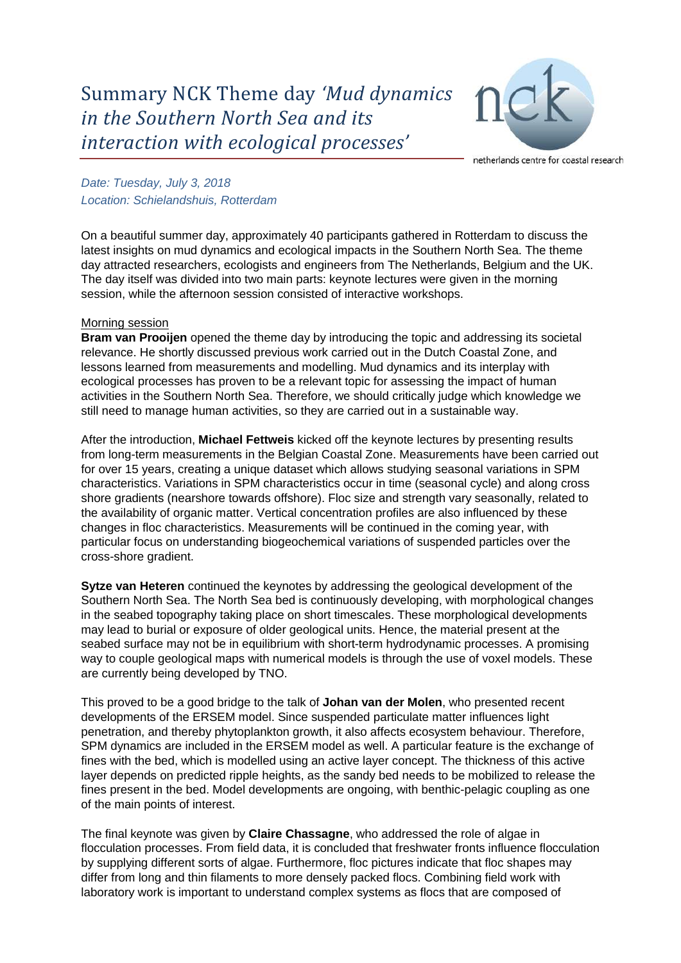

netherlands centre for coastal research

*Date: Tuesday, July 3, 2018 Location: Schielandshuis, Rotterdam*

On a beautiful summer day, approximately 40 participants gathered in Rotterdam to discuss the latest insights on mud dynamics and ecological impacts in the Southern North Sea. The theme day attracted researchers, ecologists and engineers from The Netherlands, Belgium and the UK. The day itself was divided into two main parts: keynote lectures were given in the morning session, while the afternoon session consisted of interactive workshops.

## Morning session

**Bram van Prooijen** opened the theme day by introducing the topic and addressing its societal relevance. He shortly discussed previous work carried out in the Dutch Coastal Zone, and lessons learned from measurements and modelling. Mud dynamics and its interplay with ecological processes has proven to be a relevant topic for assessing the impact of human activities in the Southern North Sea. Therefore, we should critically judge which knowledge we still need to manage human activities, so they are carried out in a sustainable way.

After the introduction, **Michael Fettweis** kicked off the keynote lectures by presenting results from long-term measurements in the Belgian Coastal Zone. Measurements have been carried out for over 15 years, creating a unique dataset which allows studying seasonal variations in SPM characteristics. Variations in SPM characteristics occur in time (seasonal cycle) and along cross shore gradients (nearshore towards offshore). Floc size and strength vary seasonally, related to the availability of organic matter. Vertical concentration profiles are also influenced by these changes in floc characteristics. Measurements will be continued in the coming year, with particular focus on understanding biogeochemical variations of suspended particles over the cross-shore gradient.

**Sytze van Heteren** continued the keynotes by addressing the geological development of the Southern North Sea. The North Sea bed is continuously developing, with morphological changes in the seabed topography taking place on short timescales. These morphological developments may lead to burial or exposure of older geological units. Hence, the material present at the seabed surface may not be in equilibrium with short-term hydrodynamic processes. A promising way to couple geological maps with numerical models is through the use of voxel models. These are currently being developed by TNO.

This proved to be a good bridge to the talk of **Johan van der Molen**, who presented recent developments of the ERSEM model. Since suspended particulate matter influences light penetration, and thereby phytoplankton growth, it also affects ecosystem behaviour. Therefore, SPM dynamics are included in the ERSEM model as well. A particular feature is the exchange of fines with the bed, which is modelled using an active layer concept. The thickness of this active layer depends on predicted ripple heights, as the sandy bed needs to be mobilized to release the fines present in the bed. Model developments are ongoing, with benthic-pelagic coupling as one of the main points of interest.

The final keynote was given by **Claire Chassagne**, who addressed the role of algae in flocculation processes. From field data, it is concluded that freshwater fronts influence flocculation by supplying different sorts of algae. Furthermore, floc pictures indicate that floc shapes may differ from long and thin filaments to more densely packed flocs. Combining field work with laboratory work is important to understand complex systems as flocs that are composed of